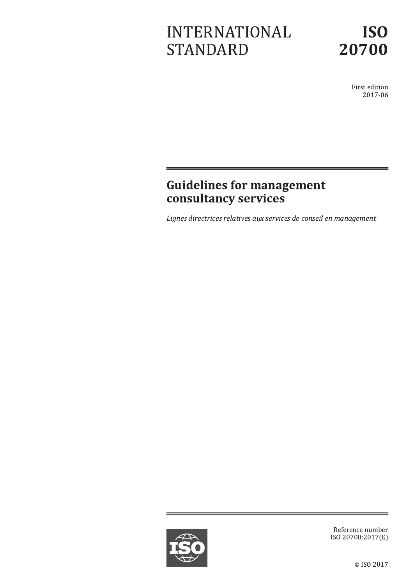# INTERNATIONAL STANDARD



First edition 2 017 -06

# Guidelines for management consultancy services

Lignes directrices relatives aux services de conseil en management



Reference number ISO 20700:2017(E)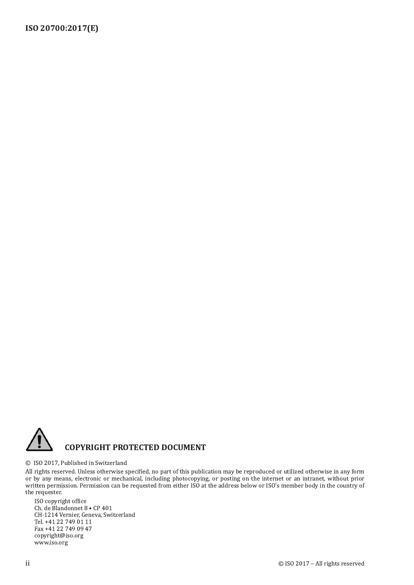

### © ISO 2017, Published in Switzerland

All rights reserved. Unless otherwise specified, no part of this publication may be reproduced or utilized otherwise in any form or by any means, electronic or mechanical, including photocopying, or posting on the internet or an intranet, without prior written permission. Permission can be requested from either ISO at the address below or ISO's member body in the country of the requester.

... . . . . . . . . . . . . . <u>ch . de B landonne a romando de B e de B</u> CH-1214 Vernier, Geneva, Switzerland Tel. +41 22 749 01 11 Fax +41 22 749 09 47 copyright@iso.org www.iso.org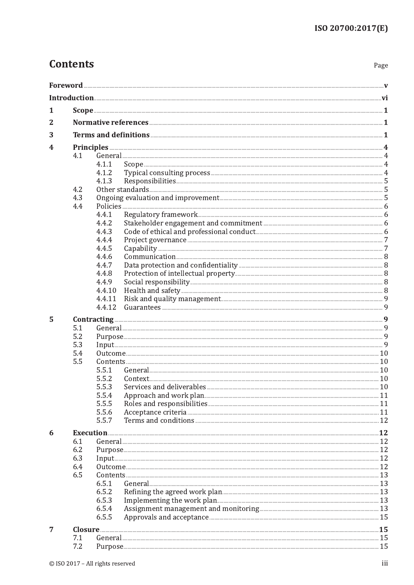# **Contents**

Page

|   |            |        | $\textbf{For} \textbf{word} \textit{} \textit{} \textit{} \textit{} \textit{} \textit{} \textit{} \textit{} \textit{} \textit{} \textit{} \textit{} \textit{} \textit{} \textit{} \textit{} \textit{} \textit{} \textit{} \textit{} \textit{} \textit{} \textit{} \textit{} \textit{} \textit{} \textit{} \textit{} \textit{} \textit{$ |  |  |
|---|------------|--------|-----------------------------------------------------------------------------------------------------------------------------------------------------------------------------------------------------------------------------------------------------------------------------------------------------------------------------------------|--|--|
|   |            |        |                                                                                                                                                                                                                                                                                                                                         |  |  |
| 1 |            |        |                                                                                                                                                                                                                                                                                                                                         |  |  |
| 2 |            |        |                                                                                                                                                                                                                                                                                                                                         |  |  |
| 3 |            |        |                                                                                                                                                                                                                                                                                                                                         |  |  |
| 4 |            |        |                                                                                                                                                                                                                                                                                                                                         |  |  |
|   | 4.1        |        |                                                                                                                                                                                                                                                                                                                                         |  |  |
|   |            | 4.1.1  |                                                                                                                                                                                                                                                                                                                                         |  |  |
|   |            | 4.1.2  |                                                                                                                                                                                                                                                                                                                                         |  |  |
|   |            | 4.1.3  |                                                                                                                                                                                                                                                                                                                                         |  |  |
|   | 4.2        |        |                                                                                                                                                                                                                                                                                                                                         |  |  |
|   | 4.3        |        |                                                                                                                                                                                                                                                                                                                                         |  |  |
|   | 4.4        |        |                                                                                                                                                                                                                                                                                                                                         |  |  |
|   |            | 4.4.1  |                                                                                                                                                                                                                                                                                                                                         |  |  |
|   |            | 4.4.2  |                                                                                                                                                                                                                                                                                                                                         |  |  |
|   |            | 4.4.3  |                                                                                                                                                                                                                                                                                                                                         |  |  |
|   |            | 4.4.4  |                                                                                                                                                                                                                                                                                                                                         |  |  |
|   |            | 4.4.5  |                                                                                                                                                                                                                                                                                                                                         |  |  |
|   |            | 4.4.6  |                                                                                                                                                                                                                                                                                                                                         |  |  |
|   |            | 4.4.7  |                                                                                                                                                                                                                                                                                                                                         |  |  |
|   |            | 4.4.8  |                                                                                                                                                                                                                                                                                                                                         |  |  |
|   |            | 4.4.9  |                                                                                                                                                                                                                                                                                                                                         |  |  |
|   |            | 4.4.10 |                                                                                                                                                                                                                                                                                                                                         |  |  |
|   |            | 4.4.11 |                                                                                                                                                                                                                                                                                                                                         |  |  |
|   |            | 4.4.12 |                                                                                                                                                                                                                                                                                                                                         |  |  |
| 5 |            |        | Contracting 3 9                                                                                                                                                                                                                                                                                                                         |  |  |
|   | 5.1        |        |                                                                                                                                                                                                                                                                                                                                         |  |  |
|   | 5.2        |        |                                                                                                                                                                                                                                                                                                                                         |  |  |
|   | 5.3        |        |                                                                                                                                                                                                                                                                                                                                         |  |  |
|   | 5.4        |        |                                                                                                                                                                                                                                                                                                                                         |  |  |
|   | 5.5        |        |                                                                                                                                                                                                                                                                                                                                         |  |  |
|   |            | 5.5.1  |                                                                                                                                                                                                                                                                                                                                         |  |  |
|   |            | 5.5.2  |                                                                                                                                                                                                                                                                                                                                         |  |  |
|   |            | 5.5.3  |                                                                                                                                                                                                                                                                                                                                         |  |  |
|   |            | 5.5.4  |                                                                                                                                                                                                                                                                                                                                         |  |  |
|   |            | 5.5.5  |                                                                                                                                                                                                                                                                                                                                         |  |  |
|   |            | 5.5.6  |                                                                                                                                                                                                                                                                                                                                         |  |  |
|   |            | 5.5.7  |                                                                                                                                                                                                                                                                                                                                         |  |  |
| 6 |            |        | Execution 22                                                                                                                                                                                                                                                                                                                            |  |  |
|   | 6.1        |        |                                                                                                                                                                                                                                                                                                                                         |  |  |
|   | 6.2        |        |                                                                                                                                                                                                                                                                                                                                         |  |  |
|   | 6.3<br>6.4 |        |                                                                                                                                                                                                                                                                                                                                         |  |  |
|   |            |        |                                                                                                                                                                                                                                                                                                                                         |  |  |
|   | 6.5        |        |                                                                                                                                                                                                                                                                                                                                         |  |  |
|   |            | 6.5.1  |                                                                                                                                                                                                                                                                                                                                         |  |  |
|   |            | 6.5.2  |                                                                                                                                                                                                                                                                                                                                         |  |  |
|   |            | 6.5.3  |                                                                                                                                                                                                                                                                                                                                         |  |  |
|   |            | 6.5.4  |                                                                                                                                                                                                                                                                                                                                         |  |  |
|   |            | 6.5.5  |                                                                                                                                                                                                                                                                                                                                         |  |  |
| 7 |            |        | $\textbf{Closure}\textcolor{black}{}\textcolor{black}{}\textcolor{black}{}\textcolor{black}{}\textcolor{black}{}\textcolor{black}{}\textcolor{black}{}\textcolor{black}{}\textcolor{black}{}\textcolor{black}{15}$                                                                                                                      |  |  |
|   | 7.1        |        |                                                                                                                                                                                                                                                                                                                                         |  |  |
|   | 7.2        |        |                                                                                                                                                                                                                                                                                                                                         |  |  |
|   |            |        |                                                                                                                                                                                                                                                                                                                                         |  |  |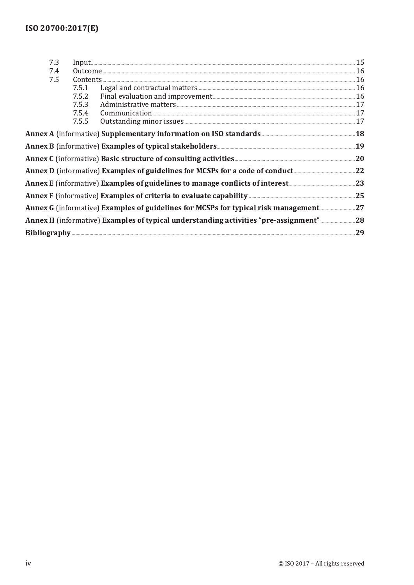| 7.3 |                                                                                                                         |  |
|-----|-------------------------------------------------------------------------------------------------------------------------|--|
| 7.4 |                                                                                                                         |  |
| 7.5 | Contents                                                                                                                |  |
|     | $\Large \textbf{Legal} \textbf{ and } \textbf{contractual} \textbf{ matters}.\color{red}{\textbf{EXAMPLE 16}}$<br>7.5.1 |  |
|     | 7.5.2                                                                                                                   |  |
|     | 7.5.3                                                                                                                   |  |
|     | 7.5.4                                                                                                                   |  |
|     | 7.5.5                                                                                                                   |  |
|     | Annex A (informative) Supplementary information on ISO standards <b>Entity Annex A</b> (informative) 18                 |  |
|     |                                                                                                                         |  |
|     |                                                                                                                         |  |
|     |                                                                                                                         |  |
|     |                                                                                                                         |  |
|     |                                                                                                                         |  |
|     | Annex G (informative) Examples of guidelines for MCSPs for typical risk management27                                    |  |
|     | Annex H (informative) Examples of typical understanding activities "pre-assignment"28                                   |  |
|     |                                                                                                                         |  |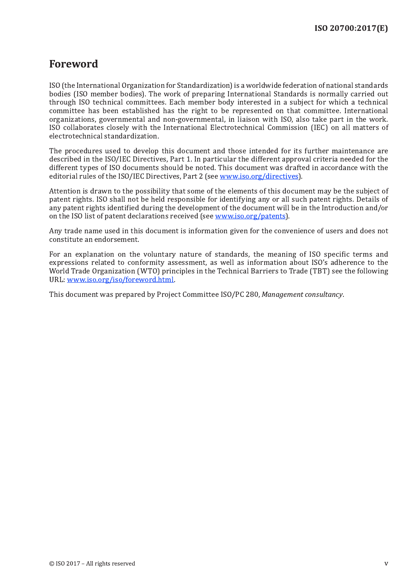#### **Foreword**  $-$

ISO (the International Organization for Standardization) is a worldwide federation of national standards bodies (ISO member bodies). The work of preparing International Standards is normally carried out through ISO technical committees. Each member body interested in a subject for which a technical committee has been established has the right to be represented on that committee. International organizations, governmental and non-governmental, in liaison with ISO, also take part in the work. ISO collaborates closely with the International Electrotechnical Commission (IEC) on all matters of electrotechnical standardization.

The procedures used to develop this document and those intended for its further maintenance are described in the ISO/IEC Directives, Part 1. In particular the different approval criteria needed for the different types of ISO documents should be noted. This document was drafted in accordance with the editorial rules of the ISO/IEC Directives, Part 2 (see www.iso.org/directives).

Attention is drawn to the possibility that some of the elements of this document may be the subject of patent rights. ISO shall not be held responsible for identifying any or all such patent rights. Details of any patent rights identified during the development of the document will be in the Introduction and/or on the ISO list of patent declarations received (see www.iso.org/patents).

Any trade name used in this document is information given for the convenience of users and does not constitute an endorsement.

For an explanation on the voluntary nature of standards, the meaning of ISO specific terms and expressions related to conformity assessment, as well as information about ISO's adherence to the World Trade Organization (WTO) principles in the Technical Barriers to Trade (TBT) see the following URL:www.iso.org/iso/foreword.html.

This document was prepared by Project Committee ISO/PC 280, Management consultancy.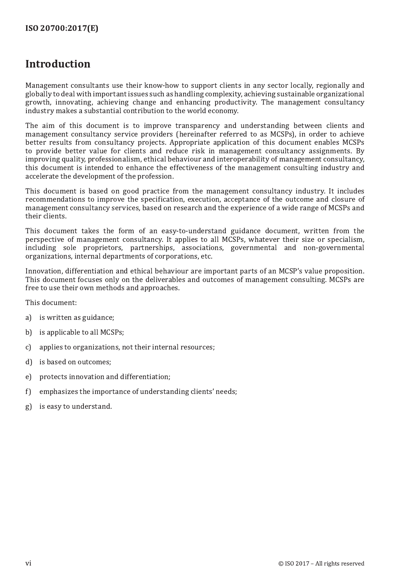#### <span id="page-5-0"></span>**Introduction** -----*-*---------

Management consultants use their know-how to support clients in any sector locally, regionally and globally to deal with important issues such as handling complexity, achieving sustainable organizational growth, innovating, achieving change and enhancing productivity. The management consultancy industry makes a substantial contribution to the world economy.

The aim of this document is to improve transparency and understanding between clients and management consultancy service providers (hereinafter referred to as MCSPs), in order to achieve better results from consultancy projects. Appropriate application of this document enables MCSPs to provide better value for clients and reduce risk in management consultancy assignments. By improving quality, professionalism, ethical behaviour and interoperability of management consultancy, this document is intended to enhance the effectiveness of the management consulting industry and accelerate the development of the profession.

This document is based on good practice from the management consultancy industry. It includes recommendations to improve the specification, execution, acceptance of the outcome and closure of management consultancy services, based on research and the experience of a wide range of MCSPs and their clients. their cl ients .

This document takes the form of an easy-to-understand guidance document, written from the perspective of management consultancy. It applies to all MCSPs, whatever their size or specialism, including sole proprietors, partnerships, associations, governmental and non-governmental organizations, internal departments of corporations, etc.

Innovation, differentiation and ethical behaviour are important parts of an MCSP's value proposition. This document focuses only on the deliverables and outcomes of management consulting. MCSPs are free to use their own methods and approaches .

This document:

- a) is written as guidance;
- b) is applicable to all MCSPs;
- $c)$  applies to organizations, not their internal resources;
- d) is based on outcomes;
- e) protects innovation and differentiation;
- f) emphasizes the importance of understanding clients' needs;
- g) is easy to understand.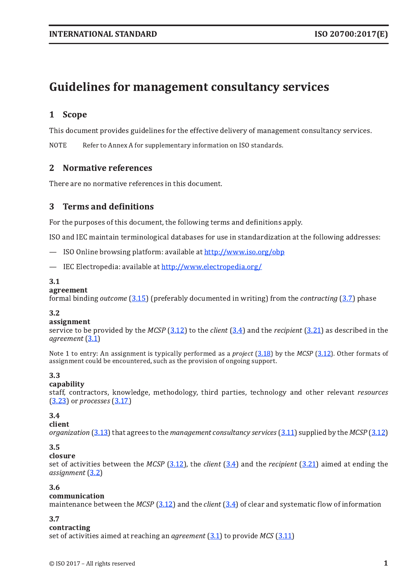# <span id="page-6-0"></span>Guidelines for management consultancy services

# 1 Scope

This document provides guidelines for the effective delivery of management consultancy services.

NOTE Refer to Annex A for supplementary information on ISO standards.

# 2 Normative references

There are no normative references in this document.

# 3 Terms and definitions

For the purposes of this document, the following terms and definitions apply.

ISO and IEC maintain terminological databases for use in standardization at the following addresses:

- ISO Online browsing platform: available at http://www.iso.org/obp
- IEC Electropedia: available at http://www.electropedia.org/

# 3 .1

# agreement

formal binding *outcome*  $(3.15)$  (preferably documented in writing) from the *contracting*  $(3.7)$  phase

# 3 .2

### assignment

service to be provided by the MCSP  $(3.12)$  to the *client*  $(3.4)$  and the *recipient*  $(3.21)$  as described in the  $agreement (3.1)$ 

Note 1 to entry: An assignment is typically performed as a *project*  $(3.18)$  by the *MCSP*  $(3.12)$ . Other formats of assignment could be encountered, such as the provision of ongoing support.

# 3 .3

### capability

staff, contractors, knowledge, methodology, third parties, technology and other relevant resources  $(3.23)$  or processes  $(3.17)$ 

#### $3.4$  $-$

### client

organization  $(3.13)$  that agrees to the management consultancy services  $(3.11)$  supplied by the MCSP  $(3.12)$ 

#### closure  $-$

set of activities between the MCSP  $(3.12)$ , the *client*  $(3.4)$  and the *recipient*  $(3.21)$  aimed at ending the  $assignment  $(3.2)$$ 

### 3 .6

# communication

maintenance between the MCSP  $(3.12)$  and the *client*  $(3.4)$  of clear and systematic flow of information

### 3 .7

### contracting

set of activities aimed at reaching an *agreement*  $(3.1)$  to provide *MCS*  $(3.11)$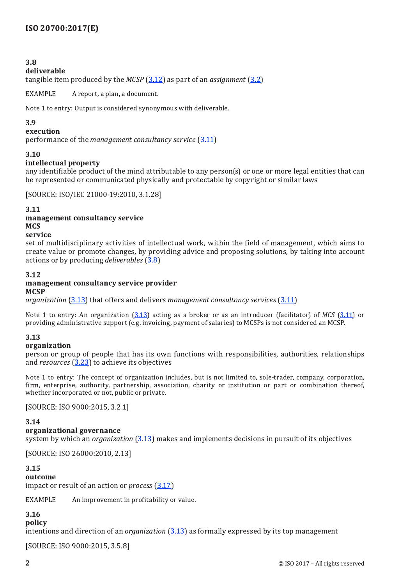# <span id="page-7-0"></span>3 .8

# deliverable

tangible item produced by the MCSP  $(3.12)$  as part of an assignment  $(3.2)$ 

EXAMPLE A report, a plan, a document.

Note 1 to entry: Output is considered synonymous with deliverable.

# 3 .9

# execution

performance of the *management consultancy service* (3.11)

#### 3.10 3 .10

# intellectual property

any identifiable product of the mind attributable to any person(s) or one or more legal entities that can be represented or communicated physically and protectable by copyright or similar laws

[SOURCE: ISO/IEC 21000-19:2010, 3.1.28]

# 3 .11 management consultancy service

# **MCS**

### service

set of multidisciplinary activities of intellectual work, within the field of management, which aims to create value or promote changes, by providing advice and proposing solutions, by taking into account actions or by producing *deliverables*  $(3.8)$ 

# 3 .12

# management consultancy service provider

# **MCSP**

organization  $(3.13)$  that offers and delivers management consultancy services  $(3.11)$ 

Note 1 to entry: An organization  $(3.13)$  acting as a broker or as an introducer (facilitator) of MCS  $(3.11)$  or providing administrative support (e.g. invoicing, payment of salaries) to MCSPs is not considered an MCSP.

# 3 .13

# organization

person or group of people that has its own functions with responsibilities, authorities, relationships and resources  $(3.23)$  to achieve its objectives

Note 1 to entry: The concept of organization includes, but is not limited to, sole-trader, company, corporation, firm, enterprise, authority, partnership, association, charity or institution or part or combination thereof, whether incorporated or not, public or private.

[SOURCE: ISO 9000:2015, 3.2.1]

# 3 .14

# organizational governance

system by which an *organization*  $(3.13)$  makes and implements decisions in pursuit of its objectives

[SOURCE: ISO 26000:2010, 2.13]

#### 3.15 ---

# outcome

impact or result of an action or *process*  $(3.17)$ 

EXAMPLE An improvement in profitability or value.

### 3 .16 policy

intentions and direction of an *organization*  $(3.13)$  as formally expressed by its top management

[SOURCE: ISO 9000:2015, 3.5.8]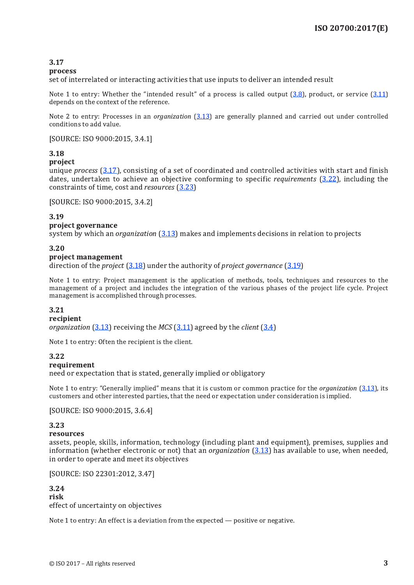# <span id="page-8-0"></span>3 .17

# process

set of interrelated or interacting activities that use inputs to deliver an intended result

Note 1 to entry: Whether the "intended result" of a process is called output  $(3.8)$ , product, or service  $(3.11)$ depends on the context of the reference .

Note 2 to entry: Processes in an *organization*  $(3.13)$  are generally planned and carried out under controlled conditions to add value.

[SOURCE: ISO 9000:2015, 3.4.1]

# 3 .18

# project

unique *process*  $(3.17)$ , consisting of a set of coordinated and controlled activities with start and finish dates, undertaken to achieve an objective conforming to specific *requirements*  $(3.22)$ , including the constraints of time, cost and *resources* (3.23)

[SOURCE: ISO 9000:2015, 3.4.2]

# 3.19

# project governance

system by which an *organization*  $(3.13)$  makes and implements decisions in relation to projects

### 3 .20

# project management

direction of the *project*  $(3.18)$  under the authority of *project governance*  $(3.19)$ 

Note 1 to entry: Project management is the application of methods, tools, techniques and resources to the management of a project and includes the integration of the various phases of the project life cycle. Project  $m$ anagement is accomplished through processes.

# 3 .21

# recipient

*organization*  $(3.13)$  receiving the *MCS*  $(3.11)$  agreed by the *client*  $(3.4)$ 

Note 1 to entry: Often the recipient is the client.

# 3 .22

# requirement

need or expectation that is stated, generally implied or obligatory

Note 1 to entry: "General lines in the independent in the common process to the original interval in the original interval in the original interval in the original interval in the original interval in the original interval cus tomers and other interested parties, that the need or expectation under consideration is implied.

[SOURCE: ISO 9000:2015, 3.6.4]

# 3.23

# resources

assets, people, skills, information, technology (including plant and equipment), premises, supplies and information (whether electronic or not) that an *organization*  $(3.13)$  has available to use, when needed, in order to operate and meet its objectives

[SOURCE: ISO 22301:2012, 3.47]

# ---

risk ----

effect of uncertainty on objectives

Note 1 to entry: An effect is a deviation from the expected  $-$  positive or negative.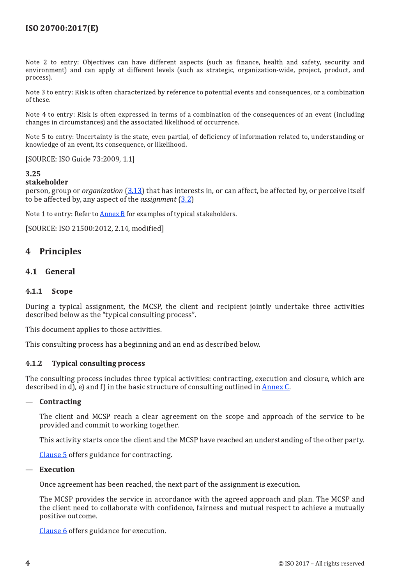<span id="page-9-0"></span>Note 2 to entry: Objectives can have different aspects (such as finance, health and safety, security and environment) and can apply at different levels (such as strategic, organization-wide, project, product, and process).

Note 3 to entry: Risk is often characterized by reference to potential events and consequences, or a combination of these .

Note 4 to entry: Risk is often expressed in terms of a combination of the consequences of an event (including changes in circumstances) and the associated likelihood of occurrence.

Note 5 to entry: Uncertainty is the state, even partial, of deficiency of information related to, understanding or knowledge of an event, its consequence, or likelihood.

[SOURCE: ISO Guide 73:2009, 1.1]

#### 3.25 3 .25

### stakeholder

person, group or *organization*  $(3.13)$  that has interests in, or can affect, be affected by, or perceive itself to be affected by, any aspect of the *assignment*  $(3.2)$ 

Note 1 to entry: Refer to  $\Delta$ nnex  $\overline{B}$  for examples of typical stakeholders.

[SOURCE: ISO 21500:2012, 2.14, modified]

# 4 Principles

#### 4.1 General 4.1 General

#### $4.1.1$ Scope 4.1 .1 Scope

During a typical assignment, the MCSP, the client and recipient jointly undertake three activities described below as the "typical consulting process".

This document applies to those activities.

This consulting process has a beginning and an end as described below.

# 4.1.2 Typical consulting process

The consulting process includes three typical activities: contracting, execution and closure, which are described in d), e) and f) in the basic structure of consulting outlined in Annex  $C$ .

### — Contracting

The client and MCSP reach a clear agreement on the scope and approach of the service to be provided and commit to working together.

This activity starts once the client and the MCSP have reached an understanding of the other party.

Clause 5 offers guidance for contracting.

### **Execution**

Once agreement has been reached, the next part of the assignment is execution.

The MCSP provides the service in accordance with the agreed approach and plan. The MCSP and the client need to collaborate with confidence, fairness and mutual respect to achieve a mutually positive outcome.

Clause 6 offers guidance for execution.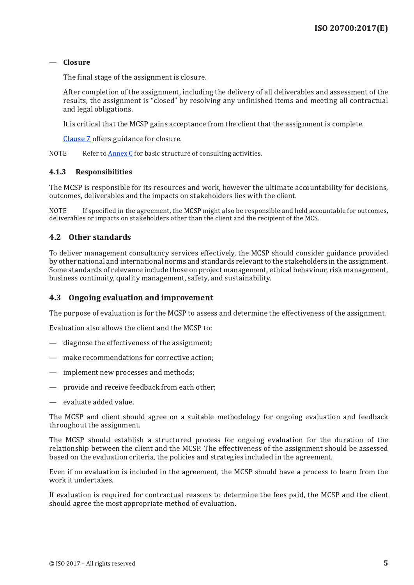<span id="page-10-0"></span>— C losure

The final stage of the assignment is closure.

After completion of the assignment, including the delivery of all deliverables and assessment of the results, the assignment is "closed" by resolving any unfinished items and meeting all contractual and legal obligations.

It is critical that the MCSP gains acceptance from the client that the assignment is complete.

Clause 7 offers guidance for closure.

NOTE Refer to  $\Delta$ nnex  $C$  for basic structure of consulting activities.

# 4.1 .3 Responsibilities

The MCSP is responsible for its resources and work, however the ultimate accountability for decisions, outcomes, deliverables and the impacts on stakeholders lies with the client.

If specified in the agreement, the MCSP might also be responsible and held accountable for outcomes. **NOTE** deliverables or impacts on stakeholders other than the client and the recipient of the MCS.

# 4.2 Other standards

To deliver management consultancy services effectively, the MCSP should consider guidance provided by other national and international norms and standards relevant to the stakeholders in the assignment. Some standards of relevance include those on project management, ethical behaviour, risk management, business continuity, quality management, safety, and sustainability.

# 4.3 Ongoing evaluation and improvement

The purpose of evaluation is for the MCSP to assess and determine the effectiveness of the assignment.

Evaluation also allows the client and the MCSP to:

- $-$  diagnose the effectiveness of the assignment;
- $-$  make recommendations for corrective action:
- $-$  implement new processes and methods;
- provide and receive feedback from each other;
- 

The MCSP and client should agree on a suitable methodology for ongoing evaluation and feedback throughout the assignment.

The MCSP should establish a structured process for ongoing evaluation for the duration of the relationship between the client and the MCSP. The effectiveness of the assignment should be assessed based on the evaluation criteria, the policies and strategies included in the agreement.

Even if no evaluation is included in the agreement, the MCSP should have a process to learn from the work it undertakes.

If evaluation is required for contractual reasons to determine the fees paid, the MCSP and the client should agree the most appropriate method of evaluation.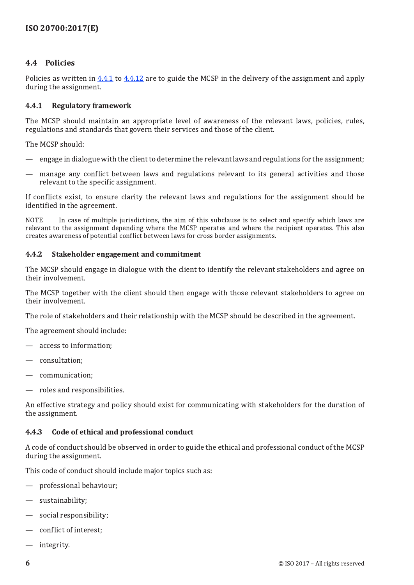# <span id="page-11-0"></span>4.4 Policies

Policies as written in  $4.4.1$  to  $4.4.12$  are to guide the MCSP in the delivery of the assignment and apply during the assignment.

# 4.4.1 Regulatory framework

The MCSP should maintain an appropriate level of awareness of the relevant laws, policies, rules, regulations and standards that govern their services and those of the client.

The MCSP should:

- engage in dialogue with the client to determine the relevant laws and regulations for the assignment;
- manage any conflict between laws and regulations relevant to its general activities and those relevant to the specific assignment.

If conflicts exist, to ensure clarity the relevant laws and regulations for the assignment should be identified in the agreement.

 $NOTE$  In case of multiple jurisdictions, the aim of this subclause is to select and specify which laws are relevant to the assignment depending where the MCSP operates and where the recipient operates. This also creates awareness of potential conflict between laws for cross border assignments.

# 4.4.2 Stakeholder engagement and commitment

The MCSP should engage in dialogue with the client to identify the relevant stakeholders and agree on their involvement.

The MCSP together with the client should then engage with those relevant stakeholders to agree on their involvement.

The role of stakeholders and their relationship with the MCSP should be described in the agreement.

The agreement should include:

- $-$  access to information;
- consultation;
- communication;
- $-$  roles and responsibilities.

An effective strategy and policy should exist for communicating with stakeholders for the duration of the assignment.

# 4.4.3 Code of ethical and professional conduct

A code of conduct should be observed in order to guide the ethical and professional conduct of the MCSP during the assignment.

This code of conduct should include major topics such as:

- professional behaviour;
- sustainability;
- social responsibility;
- conflict of interest;
- integrity.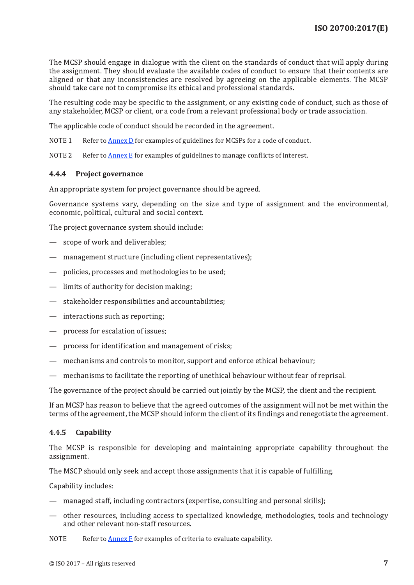<span id="page-12-0"></span>The MCSP should engage in dialogue with the client on the standards of conduct that will apply during the assignment. They should evaluate the available codes of conduct to ensure that their contents are aligned or that any inconsistencies are resolved by agreeing on the applicable elements. The MCSP should take care not to compromise its ethical and professional standards. show and take care a local to compromise its care in the interest in the second profession in the care like th

The resulting code may be specific to the assignment, or any existing code of conduct, such as those of any stakeholder, MCSP or client, or a code from a relevant professional body or trade association.

The applicable code of conduct should be recorded in the agreement.

- NOTE<sub>1</sub> Refer to Annex D for examples of guidelines for MCSPs for a code of conduct.
- NOTE<sub>2</sub> Refer to  $Annex E$  for examples of guidelines to manage conflicts of interest.

#### Project governance  $4.4.4$

An appropriate system for project governance should be agreed.

Governance systems vary, depending on the size and type of assignment and the environmental, economic, political, cultural and social context.

The project governance system should include:

- $-$  scope of work and deliverables;
- management structure (including client representatives);
- $-$  policies, processes and methodologies to be used;
- $-$  limits of authority for decision making;
- $-$  stakeholder responsibilities and accountabilities;
- $-$  interactions such as reporting;
- $-$  process for escalation of issues;
- $-$  process for identification and management of risks;
- $-$  mechanisms and controls to monitor, support and enforce ethical behaviour;
- $-$  mechanisms to facilitate the reporting of unethical behaviour without fear of reprisal.

The governance of the project should be carried out jointly by the MCSP, the client and the recipient.

If an MCSP has reason to believe that the agreed outcomes of the assignment will not be met within the terms of the agreement, the MCSP should inform the client of its findings and renegotiate the agreement.

#### $4.4.5$ **Capability**

The MCSP is responsible for developing and maintaining appropriate capability throughout the assignment.

The MSCP should only seek and accept those assignments that it is capable of fulfilling.

Capability includes:

- $-$  managed staff, including contractors (expertise, consulting and personal skills);
- other resources, including access to specialized knowledge, methodologies, tools and technology and other relevant non-staff resources.
- **NOTE** Refer to  $Annex F$  for examples of criteria to evaluate capability.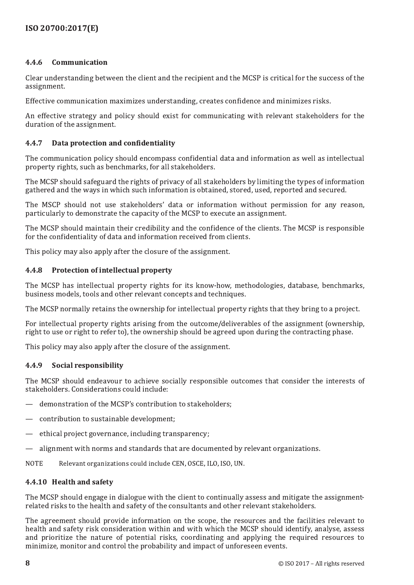# <span id="page-13-0"></span>4.4.6 Communication

Clear understanding between the client and the recipient and the MCSP is critical for the success of the assignment.

Effective communication maximizes understanding, creates confidence and minimizes risks.

An effective strategy and policy should exist for communicating with relevant stakeholders for the duration of the assignment.

#### 4.4.7 Data protection and confidentiality

The communication policy should encompass confidential data and information as well as intellectual property rights, such as benchmarks, for all stakeholders.

The MCSP should safeguard the rights of privacy of all stakeholders by limiting the types of information gathered and the ways in which such information is obtained, stored, used, reported and secured.

The MSCP should not use stakeholders' data or information without permission for any reason, particularly to demonstrate the capacity of the MCSP to execute an assignment.

The MCSP should maintain their credibility and the confidence of the clients. The MCSP is responsible for the confidentiality of data and information received from clients.

This policy may also apply after the closure of the assignment.

# 4.4.8 Protection of intellectual property

The MCSP has intellectual property rights for its know-how, methodologies, database, benchmarks, business models, tools and other relevant concepts and techniques.

The MCSP normally retains the ownership for intellectual property rights that they bring to a project.

For intellectual property rights arising from the outcome/deliverables of the assignment (ownership, right to use or right to refer to), the ownership should be agreed upon during the contracting phase.

This policy may also apply after the closure of the assignment.

# 4.4.9 Social responsibility

The MCSP should endeavour to achieve socially responsible outcomes that consider the interests of stakeholders. Considerations could include:

- demonstration of the MCSP's contribution to stakeholders;
- contribution to sustainable development;
- ethical project governance, including transparency;
- alignment with norms and standards that are documented by relevant organizations.
- NOTE Relevant organizations could include CEN, OSCE, ILO, ISO, UN.

# 4.4.10 Health and safety

The MCSP should engage in dialogue with the client to continually assess and mitigate the assignmentrelated risks to the health and safety of the consultants and other relevant stakeholders.

The agreement should provide information on the scope, the resources and the facilities relevant to health and safety risk consideration within and with which the MCSP should identify, analyse, assess and prioritize the nature of potential risks, coordinating and applying the required resources to minimize, monitor and control the probability and impact of unforeseen events.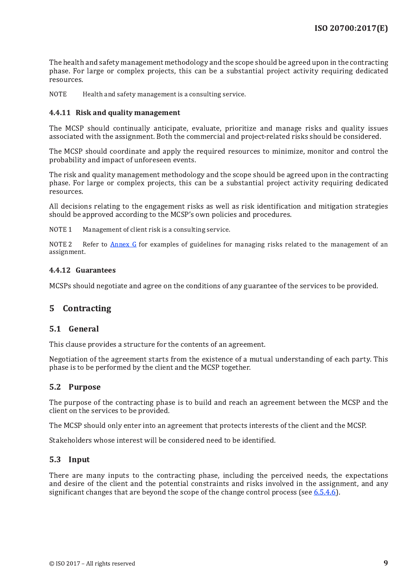<span id="page-14-0"></span>The health and safety management methodology and the scope should be agreed upon in the contracting phase. For large or complex projects, this can be a substantial project activity requiring dedicated resources .

**NOTE** Health and safety management is a consulting service.

# 4.4.11 Risk and quality management

The MCSP should continually anticipate, evaluate, prioritize and manage risks and quality issues associated with the assignment. Both the commercial and project-related risks should be considered.

The MCSP should coordinate and apply the required resources to minimize, monitor and control the probability and impact of unforeseen events.

The risk and quality management methodology and the scope should be agreed upon in the contracting phase. For large or complex projects, this can be a substantial project activity requiring dedicated resources .

All decisions relating to the engagement risks as well as risk identification and mitigation strategies should be approved according to the MCSP's own policies and procedures.

NOTE 1 Management of client risk is a consulting service.

NOTE 2 Refer to  $\Delta$  Annex G for examples of guidelines for managing risks related to the management of an assignment.

# 4.4.12 Guarantees

MCSPs should negotiate and agree on the conditions of any guarantee of the services to be provided.

# 5 Contracting

# 5 .1 General

This clause provides a structure for the contents of an agreement.

Negotiation of the agreement starts from the existence of a mutual understanding of each party. This phase is to be performed by the client and the MCSP together.

# 5 .2 Purpose

The purpose of the contracting phase is to build and reach an agreement between the MCSP and the client on the services to be provided.

The MCSP should only enter into an agreement that protects interests of the client and the MCSP.

Stakeholders whose interest will be considered need to be identified.

# 5 .3 Input

There are many inputs to the contracting phase, including the perceived needs, the expectations and desire of the client and the potential constraints and risks involved in the assignment, and any significant changes that are beyond the scope of the change control process (see  $(6.5.4.6)$ ).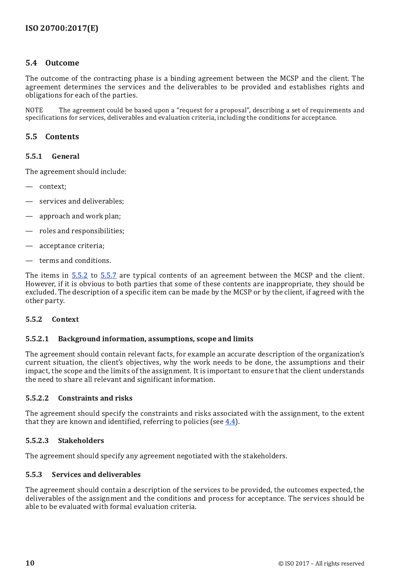# <span id="page-15-0"></span>5 .4 Outcome

The outcome of the contracting phase is a binding agreement between the MCSP and the client. The agreement determines the services and the deliverables to be provided and establishes rights and obligations for each of the parties.

**NOTE** The agreement could be based upon a "request for a proposal", describing a set of requirements and specifications for services, deliverables and evaluation criteria, including the conditions for acceptance.

# 5.5 Contents

#### $5.5.1$ General

The agreement should include:

- context;
- services and deliverables;
- approach and work plan:
- roles and responsibilities;
- acceptance criteria;
- terms and conditions.

The items in 5.5.2 to 5.5.7 are typical contents of an agreement between the MCSP and the client. However, if it is obvious to both parties that some of these contents are inappropriate, they should be excluded. The description of a specific item can be made by the MCSP or by the client, if agreed with the other party.

# 5 .5 .2 Context

# 5.5.2.1 Background information, assumptions, scope and limits

The agreement should contain relevant facts, for example an accurate description of the organization's current situation, the client's objectives, why the work needs to be done, the assumptions and their impact, the scope and the limits of the assignment. It is important to ensure that the client understands the need to share all relevant and significant information.

#### 5.5.2.2 **Constraints and risks** 5 .5 .2 .2 Constraints and risks

The agreement should specify the constraints and risks associated with the assignment, to the extent that they are known and identified, referring to policies (see 4.4).

#### $5.5.2.3$ **Stakeholders**

The agreement should specify any agreement negotiated with the stakeholders.

#### $5.5.3$ **Services and deliverables** 5 .5 .3 Services and deliverab les

The agreement should contain a description of the services to be provided, the outcomes expected, the deliverables of the assignment and the conditions and process for acceptance. The services should be able to be evaluated with formal evaluation criteria.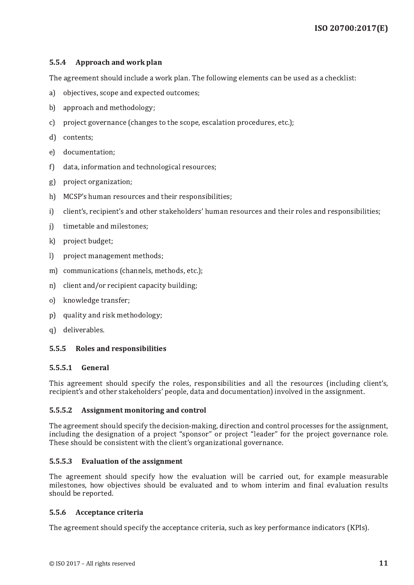# <span id="page-16-0"></span>5.5.4 Approach and work plan

The agreement should include a work plan. The following elements can be used as a checklist:

- a) objectives, scope and expected outcomes;
- b) approach and methodology;
- c) project governance (changes to the scope, escalation procedures, etc.);
- d) contents;
- e) documentation:
- f) data, information and technological resources;
- g) project organization;
- h) MCSP's human resources and their responsibilities;
- i) client's, recipient's and other stakeholders' human resources and their roles and responsibilities;
- j) timetable and milestones;
- k) project budget;
- l) project management methods;
- m) communications (channels, methods, etc.);
- n) client and/or recipient capacity building;
- o) knowledge transfer;
- p) quality and risk methodology;
- q) deliverables.

# 5 .5 .5 Roles and responsibilities

#### $5.5.5.1$ General 5 .5 .5 .1 General

This agreement should specify the roles, responsibilities and all the resources (including client's, recipient's and other stakeholders' people, data and documentation) involved in the assignment.

# 5 .5 .5 .2 Assignment monitoring and control

The agreement should specify the decision-making, direction and control processes for the assignment, including the designation of a project "sponsor" or project "leader" for the project governance role. These should be consistent with the client's organizational governance.

# 5 .5 .5 .3 Evaluation of the assignment

The agreement should specify how the evaluation will be carried out, for example measurable milestones, how objectives should be evaluated and to whom interim and final evaluation results should be reported.

# 5 .5 .6 Acceptance criteria

The agreement should specify the acceptance criteria, such as key performance indicators (KPIs).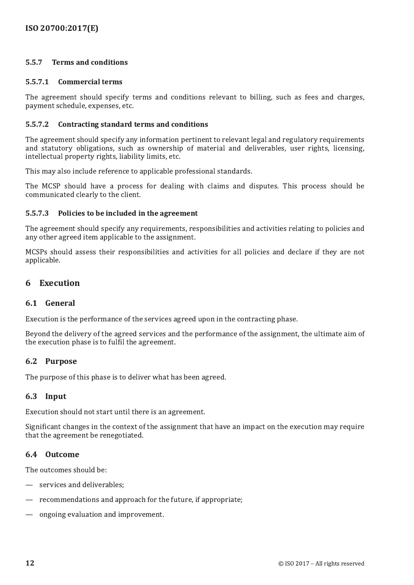# <span id="page-17-0"></span>5 .5 .7 Terms and conditions

# 5 .5 .7 .1 Commercial terms

The agreement should specify terms and conditions relevant to billing, such as fees and charges, payment schedule, expenses, etc.

# 5 .5 .7 .2 Contracting standard terms and conditions

The agreement should specify any information pertinent to relevant legal and regulatory requirements and statutory obligations, such as ownership of material and deliverables, user rights, licensing, intellectual property rights, liability limits, etc.

This may also include reference to applicable professional standards.

The MCSP should have a process for dealing with claims and disputes. This process should be communicated clearly to the client.

# 5 .5 .7 .3 Policies to be included in the agreement

The agreement should specify any requirements, responsibilities and activities relating to policies and any other agreed item applicable to the assignment.

MCSPs should assess their responsibilities and activities for all policies and declare if they are not applicable.

#### Execution 6

# 6 .1 General

Execution is the performance of the services agreed upon in the contracting phase.

Beyond the delivery of the agreed services and the performance of the assignment, the ultimate aim of the execution phase is to fulfil the agreement.

# 6 .2 Purpose

The purpose of this phase is to deliver what has been agreed.

# 6 .3 Input

Execution should not start until there is an agreement.

Significant changes in the context of the assignment that have an impact on the execution may require that the agreement be renegotiated.

# 6 .4 Outcome

The outcomes should be: The outcomes shou ld be :

- services and deliverables;
- recommendations and approach for the future, if appropriate;
- ongoing evaluation and improvement.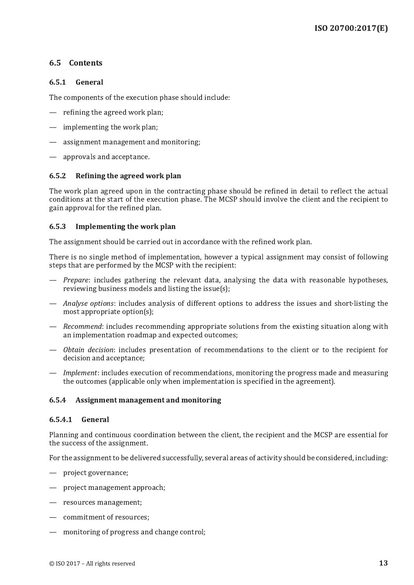# <span id="page-18-0"></span>6 .5 Contents

#### $6.5.1$ General

The components of the execution phase should include:

- $-$  refining the agreed work plan;
- $-$  implementing the work plan;
- $-$  assignment management and monitoring;
- $-$  approvals and acceptance.

# 6.5.2 Refining the agreed work plan

The work plan agreed upon in the contracting phase should be refined in detail to reflect the actual conditions at the start of the execution phase. The MCSP should involve the client and the recipient to gain approval for the refined plan.

# 6 .5 .3 Implementing the work plan

The assignment should be carried out in accordance with the refined work plan.

There is no single method of implementation, however a typical assignment may consist of following steps that are performed by the MCSP with the recipient:

- Prepare: includes gathering the relevant data, analysing the data with reasonable hypotheses, reviewing business models and listing the issue $(s)$ ;
- Analyse options: includes analysis of different options to address the issues and short-listing the most appropriate option $(s)$ ;
- $-$  Recommend: includes recommending appropriate solutions from the existing situation along with an implementation roadmap and expected outcomes;
- *Obtain decision*: includes presentation of recommendations to the client or to the recipient for decision and acceptance;
- Implement: includes execution of recommendations, monitoring the progress made and measuring the outcomes (applicable only when implementation is specified in the agreement).

# 6 .5 .4 Assignment management and monitoring

#### $6.5.4.1$ General 6 .5 .4 .1 General

Planning and continuous coordination between the client, the recipient and the MCSP are essential for the success of the assignment.

For the assignment to be delivered successfully, several areas of activity should be considered, including:

- $-$  project governance;
- $-$  project management approach;
- resources management;
- $-$  commitment of resources;
- $-$  monitoring of progress and change control;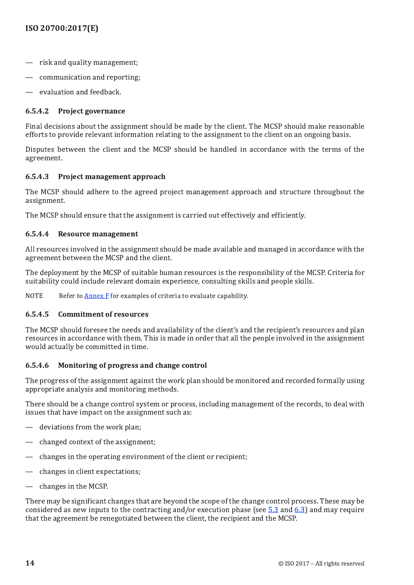- <span id="page-19-0"></span>risk and quality management;
- communication and reporting;
- evaluation and feedback.

# 6 .5 .4.2 Pro ject governance

Final decisions about the assignment should be made by the client. The MCSP should make reasonable efforts to provide relevant information relating to the assignment to the client on an ongoing basis.

Disputes between the client and the MCSP should be handled in accordance with the terms of the agreement.

# 6.5.4.3 Project management approach

The MCSP should adhere to the agreed project management approach and structure throughout the assignment.

The MCSP should ensure that the assignment is carried out effectively and efficiently.

# 6 .5 .4.4 Resource management

All resources involved in the assignment should be made available and managed in accordance with the agreement between the MCSP and the client.

The deployment by the MCSP of suitable human resources is the responsibility of the MCSP. Criteria for suitability could include relevant domain experience, consulting skills and people skills.

NOTE Refer to  $\Delta$ nnex F for examples of criteria to evaluate capability.

#### **Commitment of resources** 6.5.4.5

The MCSP should foresee the needs and availability of the client's and the recipient's resources and plan resources in accordance with them. This is made in order that all the people involved in the assignment would actually be committed in time.

#### Monitoring of progress and change control 6.5.4.6

The progress of the assignment against the work plan should be monitored and recorded formally using appropriate analysis and monitoring methods.

There should be a change control system or process, including management of the records, to deal with issues that have impact on the assignment such as:

- deviations from the work plan;
- changed context of the assignment;
- changes in the operating environment of the client or recipient;
- changes in client expectations;
- changes in the MCSP.

There may be significant changes that are beyond the scope of the change control process. These may be considered as new inputs to the contracting and/or execution phase (see  $5.3$  and  $6.3$ ) and may require that the agreement be renegotiated between the client, the recipient and the MCSP.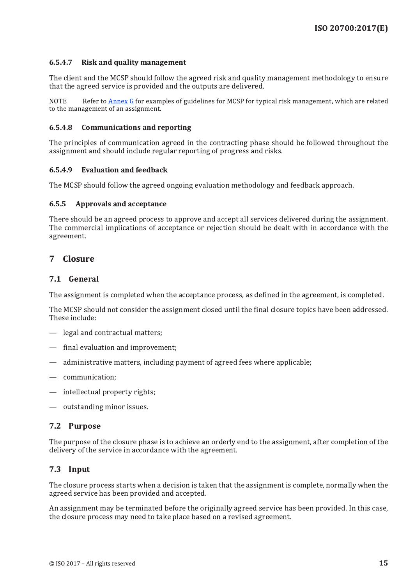# <span id="page-20-0"></span>6 .5 .4 .7 Risk and quality management

The client and the MCSP should follow the agreed risk and quality management methodology to ensure that the agreed service is provided and the outputs are delivered.

NOTE Refer to  $\Delta$ nnex G for examples of guidelines for MCSP for typical risk management, which are related to the management of an assignment.

#### 6.5.4.8 Communications and reporting

The principles of communication agreed in the contracting phase should be followed throughout the assignment and should include regular reporting of progress and risks.

#### 6.5.4.9 **Evaluation and feedback**

The MCSP should follow the agreed ongoing evaluation methodology and feedback approach.

# 6 .5 .5 Approvals and acceptance

There should be an agreed process to approve and accept all services delivered during the assignment. The commercial implications of acceptance or rejection should be dealt with in accordance with the agreement.

#### $\overline{7}$ **Closure** 7 Closure

# 7.1 General

The assignment is completed when the acceptance process, as defined in the agreement, is completed.

The MCSP should not consider the assignment closed until the final closure topics have been addressed. These include:

- $-$  legal and contractual matters;
- $-$  final evaluation and improvement;
- $-$  administrative matters, including payment of agreed fees where applicable;
- $-$  communication;
- $-$  intellectual property rights;
- $\sim$  outstanding minor issues.

# 7.2 Purpose

The purpose of the closure phase is to achieve an orderly end to the assignment, after completion of the delivery of the service in accordance with the agreement.

# 7 .3 Input

The closure process starts when a decision is taken that the assignment is complete, normally when the agreed service has been provided and accepted.

An assignment may be terminated before the originally agreed service has been provided. In this case, the closure process may need to take place based on a revised agreement.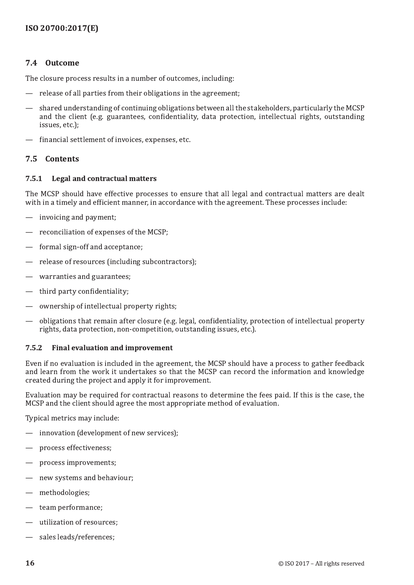# <span id="page-21-0"></span>7 .4 Outcome

The closure process results in a number of outcomes, including:

- release of all parties from their obligations in the agreement;
- shared understanding of continuing obligations between all the stakeholders, particularly the MCSP and the client (e.g. guarantees, confidentiality, data protection, intellectual rights, outstanding issues, etc.):
- financial settlement of invoices, expenses, etc.

# 7 .5 Contents

#### $7.5.1$ Legal and contractual matters

The MCSP should have effective processes to ensure that all legal and contractual matters are dealt with in a timely and efficient manner, in accordance with the agreement. These processes include:

- invoicing and payment;
- reconciliation of expenses of the MCSP;
- formal sign-off and acceptance;
- release of resources (including subcontractors);
- warranties and guarantees;
- third party confidentiality;
- ownership of intellectual property rights;
- obligations that remain after closure (e.g. legal, confidentiality, protection of intellectual property rights, data protection, non-competition, outstanding issues, etc.).

# 7 .5 .2 Final evaluation and improvement

Even if no evaluation is included in the agreement, the MCSP should have a process to gather feedback and learn from the work it undertakes so that the MCSP can record the information and knowledge created during the project and apply it for improvement.

Evaluation may be required for contractual reasons to determine the fees paid. If this is the case, the MCSP and the client should agree the most appropriate method of evaluation.

Typical metrics may include:

- innovation (development of new services);
- process effectiveness;
- process improvements;
- new systems and behaviour;
- methodologies;
- team performance:
- utilization of resources;
- sales leads/references;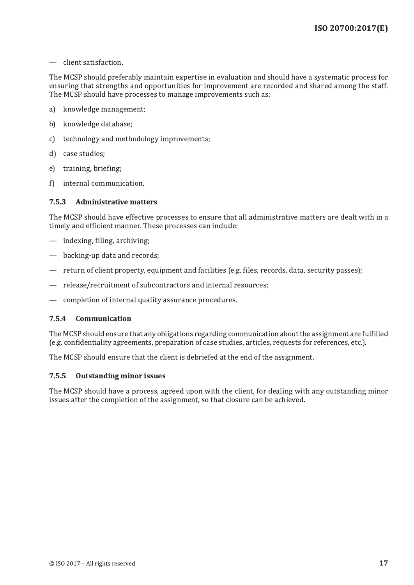<span id="page-22-0"></span> $-$  client satisfaction.

The MCSP should preferably maintain expertise in evaluation and should have a systematic process for ensuring that strengths and opportunities for improvement are recorded and shared among the staff. The MCSP should have processes to manage improvements such as:

- a) knowledge management;
- b) knowledge database;
- c) technology and methodology improvements;
- d) case studies;
- e) training, briefing;
- f) internal communication.

#### $7.5.3$ **Administrative matters** 7 .5 .3 Administrative matters

The MCSP should have effective processes to ensure that all administrative matters are dealt with in a timely and efficient manner. These processes can include:

- $-$  indexing, filing, archiving;
- $-$  backing-up data and records;
- return of client property, equipment and facilities (e.g. files, records, data, security passes);
- $-$  release/recruitment of subcontractors and internal resources;
- $\equiv$  completion of internal quality assurance procedures.

### 7 .5 .4 Communication

The MCSP should ensure that any obligations regarding communication about the assignment are fulfilled (e.g. confidentiality agreements, preparation of case studies, articles, requests for references, etc.).

The MCSP should ensure that the client is debriefed at the end of the assignment.

### 7 .5 .5 Outstanding minor issues

The MCSP should have a process, agreed upon with the client, for dealing with any outstanding minor issues after the completion of the assignment, so that closure can be achieved.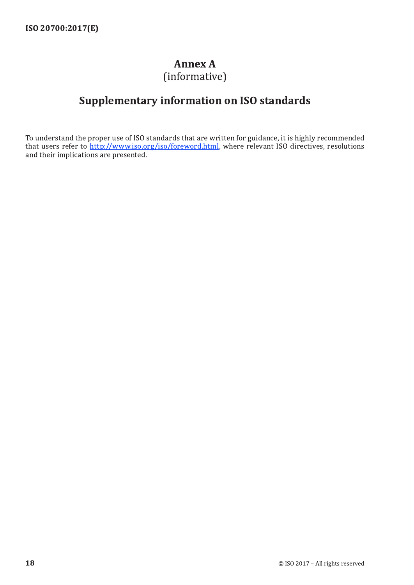# Annex A

(informative)

# <span id="page-23-0"></span>Supplementary information on ISO standards

To understand the proper use of ISO standards that are written for guidance, it is highly recommended that users refer to http://www.iso.org/iso/foreword.html, where relevant ISO directives, resolutions and their implications are presented.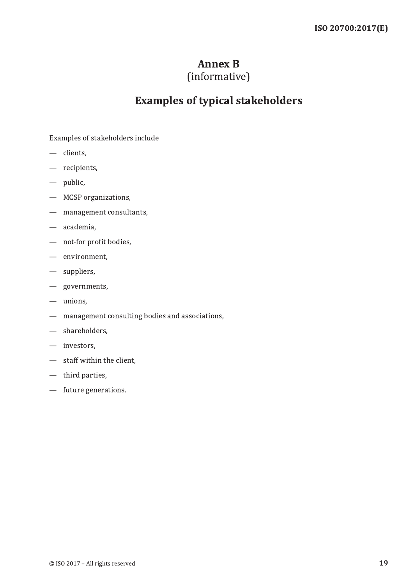# Annex B

# (informative)

# Examples of typical stakeholders

<span id="page-24-0"></span>Examples of stakeholders include

- cl ients ,
- rec ip ients ,
- $-$  public,
- MCSP organizations,
- $-$  management consultants,
- academ ia ,
- not-for profit bodies,
- environment,
- suppliers,
- governments ,
- un ions ,
- management consulting bodies and associations,
- $-$  shareholders,
- inves tors ,
- $-$  staff within the client,
- $-$  third parties,
- future generations .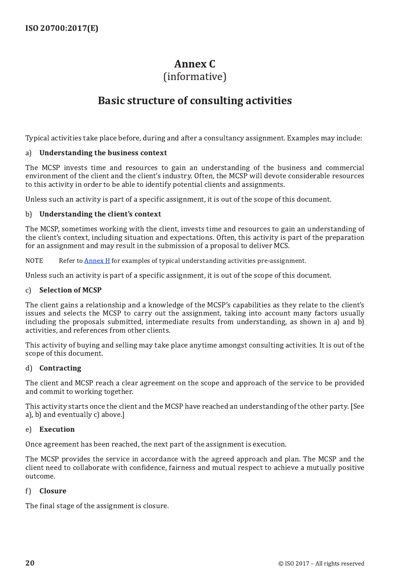# **Annex C** Annex C

# (informative)

# Basic structure of consulting activities

<span id="page-25-0"></span>Typical activities take place before, during and after a consultancy assignment. Examples may include:

# a) Understanding the business context

The MCSP invests time and resources to gain an understanding of the business and commercial environment of the client and the client's industry. Often, the MCSP will devote considerable resources to this activity in order to be able to identify potential clients and assignments.

Unless such an activity is part of a specific assignment, it is out of the scope of this document.

# b) Understanding the client's context

The MCSP, sometimes working with the client, invests time and resources to gain an understanding of the client's context, including situation and expectations. Often, this activity is part of the preparation for an assignment and may result in the submission of a proposal to deliver MCS.

**NOTE** Refer to Annex H for examples of typical understanding activities pre-assignment.

Unless such an activity is part of a specific assignment, it is out of the scope of this document.

#### Selection of MCSP  $c$

The client gains a relationship and a knowledge of the MCSP's capabilities as they relate to the client's issues and selects the MCSP to carry out the assignment, taking into account many factors usually including the proposals submitted, intermediate results from understanding, as shown in a) and b) activities, and references from other clients.

This activity of buying and selling may take place anytime amongst consulting activities. It is out of the scope of this document.

# d) Contracting

The client and MCSP reach a clear agreement on the scope and approach of the service to be provided and commit to working together.

This activity starts once the client and the MCSP have reached an understanding of the other party. [See a), b) and eventually  $c$ ) above.]

# e) Execution

Once agreement has been reached, the next part of the assignment is execution.

The MCSP provides the service in accordance with the agreed approach and plan. The MCSP and the client need to collaborate with confidence, fairness and mutual respect to achieve a mutually positive outcome.

# f) Closure

The final stage of the assignment is closure.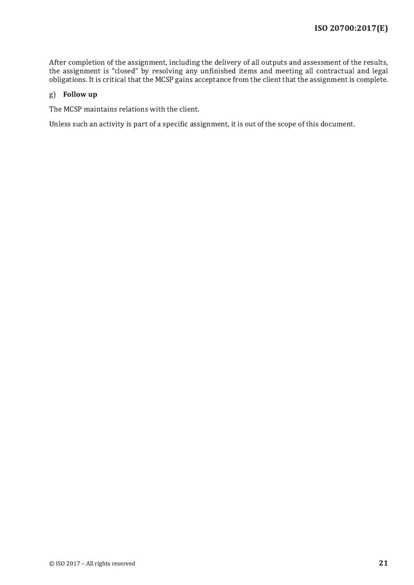After completion of the assignment, including the delivery of all outputs and assessment of the results, the assignment is "closed" by resolving any unfinished items and meeting all contractual and legal obligations. It is critical that the MCSP gains acceptance from the client that the assignment is complete.

# g) Follow up

The MCSP maintains relations with the client.

Unless such an activity is part of a specific assignment, it is out of the scope of this document.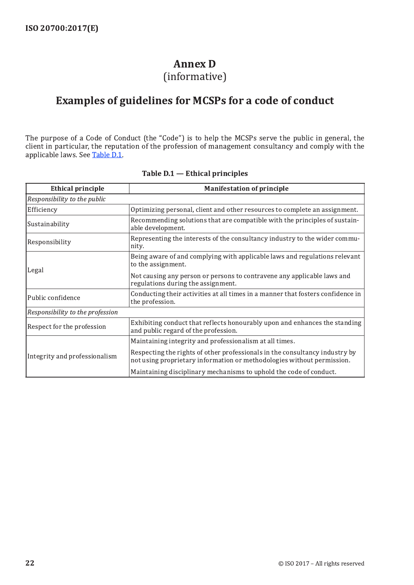# Annex D

(informative)

# <span id="page-27-0"></span>Examples of guidelines for MCSPs for a code of conduct

The purpose of a Code of Conduct (the "Code") is to help the MCSPs serve the public in general, the client in particular, the reputation of the profession of management consultancy and comply with the applicable laws. See Table D.1.

| <b>Ethical principle</b>         | <b>Manifestation of principle</b>                                                                                                                     |
|----------------------------------|-------------------------------------------------------------------------------------------------------------------------------------------------------|
| Responsibility to the public     |                                                                                                                                                       |
| Efficiency                       | Optimizing personal, client and other resources to complete an assignment.                                                                            |
| Sustainability                   | Recommending solutions that are compatible with the principles of sustain-<br>able development.                                                       |
| Responsibility                   | Representing the interests of the consultancy industry to the wider commu-<br>nity.                                                                   |
|                                  | Being aware of and complying with applicable laws and regulations relevant<br>to the assignment.                                                      |
| Legal                            | Not causing any person or persons to contravene any applicable laws and<br>regulations during the assignment.                                         |
| Public confidence                | Conducting their activities at all times in a manner that fosters confidence in<br>the profession.                                                    |
| Responsibility to the profession |                                                                                                                                                       |
| Respect for the profession       | Exhibiting conduct that reflects honourably upon and enhances the standing<br>and public regard of the profession.                                    |
|                                  | Maintaining integrity and professionalism at all times.                                                                                               |
| Integrity and professionalism    | Respecting the rights of other professionals in the consultancy industry by<br>not using proprietary information or methodologies without permission. |
|                                  | Maintaining disciplinary mechanisms to uphold the code of conduct.                                                                                    |

# Table  $D.1$  – Ethical principles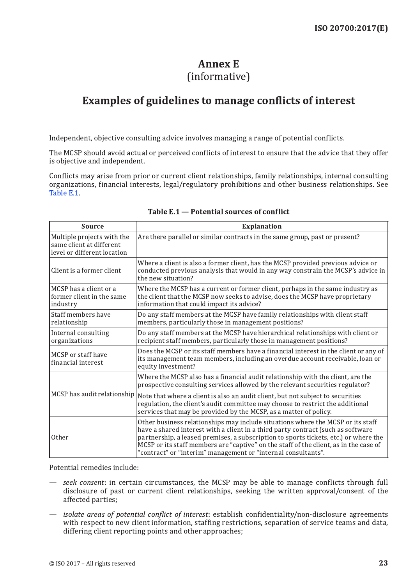# Annex E (informative)

# <span id="page-28-0"></span>Examples of guidelines to manage conflicts of interest

Independent, objective consulting advice involves managing a range of potential conflicts.

The MCSP should avoid actual or perceived conflicts of interest to ensure that the advice that they offer is objective and independent.

Conflicts may arise from prior or current client relationships, family relationships, internal consulting organizations, financial interests, legal/regulatory prohibitions and other business relationships. See Table E.1.

| <b>Source</b>                                                                         | <b>Explanation</b>                                                                                                                                                                                                                                                                                                                                                                                                    |
|---------------------------------------------------------------------------------------|-----------------------------------------------------------------------------------------------------------------------------------------------------------------------------------------------------------------------------------------------------------------------------------------------------------------------------------------------------------------------------------------------------------------------|
| Multiple projects with the<br>same client at different<br>level or different location | Are there parallel or similar contracts in the same group, past or present?                                                                                                                                                                                                                                                                                                                                           |
| Client is a former client                                                             | Where a client is also a former client, has the MCSP provided previous advice or<br>conducted previous analysis that would in any way constrain the MCSP's advice in<br>the new situation?                                                                                                                                                                                                                            |
| MCSP has a client or a<br>former client in the same<br>industry                       | Where the MCSP has a current or former client, perhaps in the same industry as<br>the client that the MCSP now seeks to advise, does the MCSP have proprietary<br>information that could impact its advice?                                                                                                                                                                                                           |
| Staff members have<br>relationship                                                    | Do any staff members at the MCSP have family relationships with client staff<br>members, particularly those in management positions?                                                                                                                                                                                                                                                                                  |
| Internal consulting<br>organizations                                                  | Do any staff members at the MCSP have hierarchical relationships with client or<br>recipient staff members, particularly those in management positions?                                                                                                                                                                                                                                                               |
| MCSP or staff have<br>financial interest                                              | Does the MCSP or its staff members have a financial interest in the client or any of<br>its management team members, including an overdue account receivable, loan or<br>equity investment?                                                                                                                                                                                                                           |
|                                                                                       | Where the MCSP also has a financial audit relationship with the client, are the<br>prospective consulting services allowed by the relevant securities regulator?                                                                                                                                                                                                                                                      |
| MCSP has audit relationship                                                           | Note that where a client is also an audit client, but not subject to securities<br>regulation, the client's audit committee may choose to restrict the additional<br>services that may be provided by the MCSP, as a matter of policy.                                                                                                                                                                                |
| Other                                                                                 | Other business relationships may include situations where the MCSP or its staff<br>have a shared interest with a client in a third party contract (such as software<br>partnership, a leased premises, a subscription to sports tickets, etc.) or where the<br>MCSP or its staff members are "captive" on the staff of the client, as in the case of<br>"contract" or "interim" management or "internal consultants". |

# Table  $E.1$   $-$  Potential sources of conflict

Potential remedies include:

- seek consent: in certain circumstances, the MCSP may be able to manage conflicts through full disclosure of past or current client relationships, seeking the written approval/consent of the affected parties;
- isolate areas of potential conflict of interest: establish confidentiality/non-disclosure agreements with respect to new client information, staffing restrictions, separation of service teams and data, differing client reporting points and other approaches;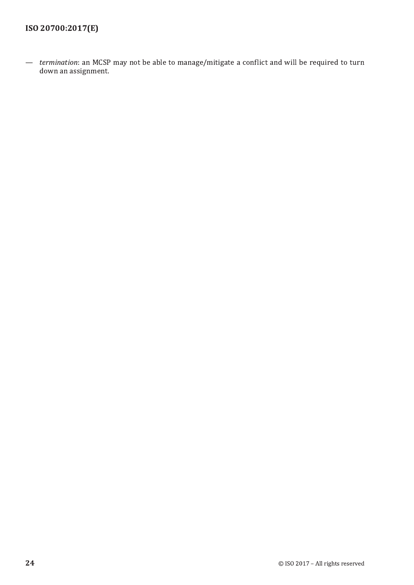— termination: an MCSP may not be able to manage/mitigate a conflict and will be required to turn down an assignment.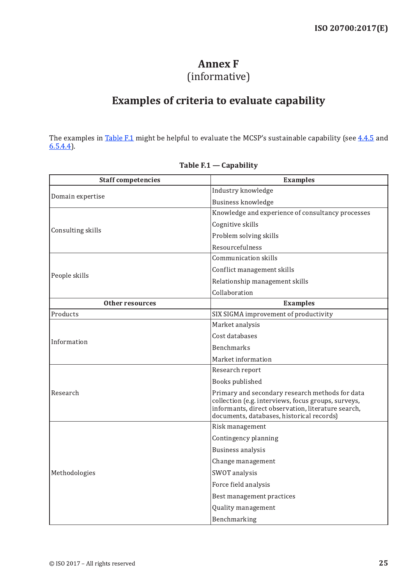# Annex F (informative)

# Examples of criteria to evaluate capability

<span id="page-30-0"></span>The examples in Table F.1 might be helpful to evaluate the MCSP's sustainable capability (see 4.4.5 and  $6.5.4.4$ 

| <b>Staff competencies</b> | <b>Examples</b>                                                                                                                                                                                           |  |
|---------------------------|-----------------------------------------------------------------------------------------------------------------------------------------------------------------------------------------------------------|--|
|                           | Industry knowledge                                                                                                                                                                                        |  |
| Domain expertise          | Business knowledge                                                                                                                                                                                        |  |
|                           | Knowledge and experience of consultancy processes                                                                                                                                                         |  |
|                           | Cognitive skills                                                                                                                                                                                          |  |
| Consulting skills         | Problem solving skills                                                                                                                                                                                    |  |
|                           | Resourcefulness                                                                                                                                                                                           |  |
|                           | Communication skills                                                                                                                                                                                      |  |
| People skills             | Conflict management skills                                                                                                                                                                                |  |
|                           | Relationship management skills                                                                                                                                                                            |  |
|                           | Collaboration                                                                                                                                                                                             |  |
| Other resources           | <b>Examples</b>                                                                                                                                                                                           |  |
| Products                  | SIX SIGMA improvement of productivity                                                                                                                                                                     |  |
|                           | Market analysis                                                                                                                                                                                           |  |
| Information               | Cost databases                                                                                                                                                                                            |  |
|                           | <b>Benchmarks</b>                                                                                                                                                                                         |  |
|                           | Market information                                                                                                                                                                                        |  |
|                           | Research report                                                                                                                                                                                           |  |
|                           | Books published                                                                                                                                                                                           |  |
| Research                  | Primary and secondary research methods for data<br>collection (e.g. interviews, focus groups, surveys,<br>informants, direct observation, literature search,<br>documents, databases, historical records) |  |
|                           | Risk management                                                                                                                                                                                           |  |
|                           | Contingency planning                                                                                                                                                                                      |  |
|                           | Business analysis                                                                                                                                                                                         |  |
|                           | Change management                                                                                                                                                                                         |  |
| Methodologies             | SWOT analysis                                                                                                                                                                                             |  |
|                           | Force field analysis                                                                                                                                                                                      |  |
|                           | Best management practices                                                                                                                                                                                 |  |
|                           | Quality management                                                                                                                                                                                        |  |
|                           | Benchmarking                                                                                                                                                                                              |  |

# Table  $F.1 -$  Capability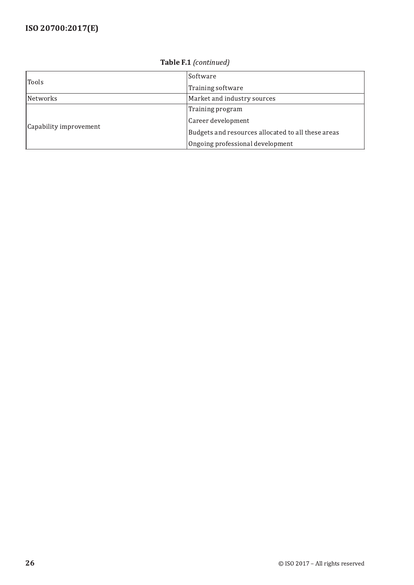| Tools                  | Software                                           |
|------------------------|----------------------------------------------------|
|                        | Training software                                  |
| Networks               | Market and industry sources                        |
|                        | Training program                                   |
|                        | Career development                                 |
| Capability improvement | Budgets and resources allocated to all these areas |
|                        | Ongoing professional development                   |

# Table F.1 (continued)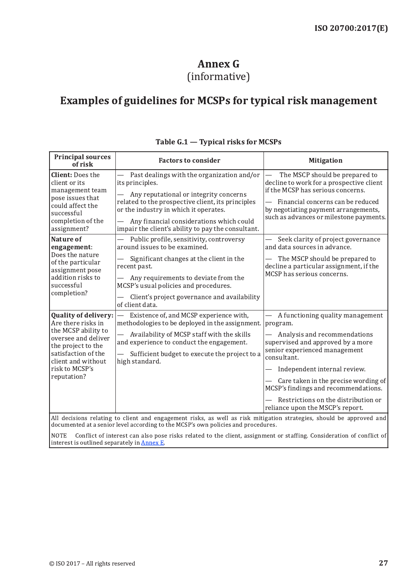# Annex G (informative)

# <span id="page-32-0"></span>Examples of guidelines for MCSPs for typical risk management

| <b>Principal sources</b><br>of risk                                                                                                                                                                 | <b>Factors to consider</b>                                                                                                                                                                                                                                                                                                                                                       | <b>Mitigation</b>                                                                                                                                                                                                                                                                                                                                            |
|-----------------------------------------------------------------------------------------------------------------------------------------------------------------------------------------------------|----------------------------------------------------------------------------------------------------------------------------------------------------------------------------------------------------------------------------------------------------------------------------------------------------------------------------------------------------------------------------------|--------------------------------------------------------------------------------------------------------------------------------------------------------------------------------------------------------------------------------------------------------------------------------------------------------------------------------------------------------------|
| <b>Client: Does the</b><br>client or its<br>management team<br>pose issues that<br>could affect the<br>successful<br>completion of the<br>assignment?                                               | Past dealings with the organization and/or<br>its principles.<br>Any reputational or integrity concerns<br>related to the prospective client, its principles<br>or the industry in which it operates.<br>Any financial considerations which could<br>impair the client's ability to pay the consultant.                                                                          | The MSCP should be prepared to<br>decline to work for a prospective client<br>if the MCSP has serious concerns.<br>Financial concerns can be reduced<br>by negotiating payment arrangements,<br>such as advances or milestone payments.                                                                                                                      |
| Nature of<br>engagement:<br>Does the nature<br>of the particular<br>assignment pose<br>addition risks to<br>successful<br>completion?                                                               | Public profile, sensitivity, controversy<br>around issues to be examined.<br>Significant changes at the client in the<br>recent past.<br>Any requirements to deviate from the<br>MCSP's usual policies and procedures.<br>Client's project governance and availability<br>of client data.                                                                                        | Seek clarity of project governance<br>and data sources in advance.<br>The MSCP should be prepared to<br>decline a particular assignment, if the<br>MCSP has serious concerns.                                                                                                                                                                                |
| <b>Quality of delivery:</b><br>Are there risks in<br>the MCSP ability to<br>oversee and deliver<br>the project to the<br>satisfaction of the<br>client and without<br>risk to MCSP's<br>reputation? | Existence of, and MCSP experience with,<br>methodologies to be deployed in the assignment.<br>Availability of MCSP staff with the skills<br>and experience to conduct the engagement.<br>Sufficient budget to execute the project to a<br>high standard.<br>All decisions relating to client and engagement risks, as well as risk mitigation strategies, should be approved and | A functioning quality management<br>program.<br>Analysis and recommendations<br>supervised and approved by a more<br>senior experienced management<br>consultant.<br>Independent internal review.<br>Care taken in the precise wording of<br>MCSP's findings and recommendations.<br>Restrictions on the distribution or<br>reliance upon the MSCP's report. |

# Table  $G.1$  — Typical risks for MCSPs

documented at a senior level according to the MCSP's own policies and procedures.

NOTE Conflict of interest can also pose risks related to the client, assignment or staffing. Consideration of conflict of interest is outlined separately in **Annex E**.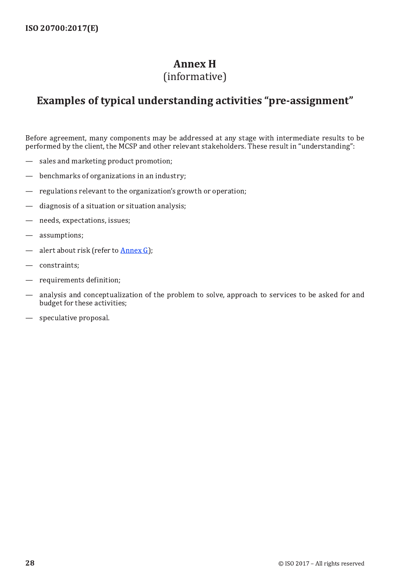### **Annex H** Annex H

# (informative)

# <span id="page-33-0"></span>Examples of typical understanding activities "pre-assignment"

Before agreement, many components may be addressed at any stage with intermediate results to be performed by the client, the MCSP and other relevant stakeholders. These result in "understanding":

- sales and marketing product promotion;
- benchmarks of organizations in an industry;
- regulations relevant to the organization's growth or operation;
- diagnosis of a situation or situation analysis;
- needs, expectations, issues;  $\overline{\phantom{0}}$
- assumptions;
- alert about risk (refer to  ${\underline{\rm Annex~G}}$ );
- constraints;
- requirements definition;
- analysis and conceptualization of the problem to solve, approach to services to be asked for and  $\overline{\phantom{0}}$ budget for these activities;
- speculative proposal.  $\overline{\phantom{m}}$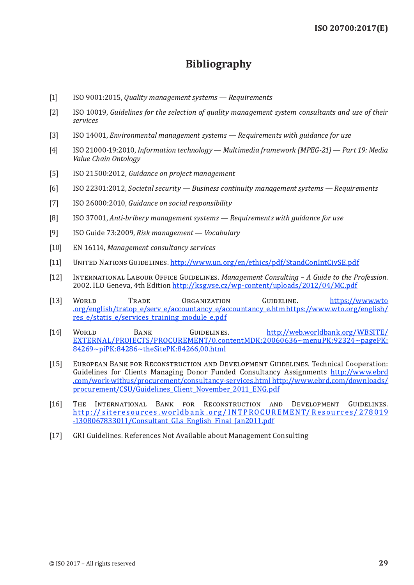# **Bibliography**

- <span id="page-34-0"></span>[1] ISO 9001:2015, Quality management systems - Requirements
- [2] ISO 10019, Guidelines for the selection of quality management system consultants and use of their services services
- [3] ISO 14001, Environmental management systems Requirements with guidance for use
- [4] ISO 21000-19:2010, Information technology Multimedia framework (MPEG-21) Part 19: Media Value Chain Ontology
- [5] ISO 21500:2012, Guidance on project management
- $[6]$  ISO 22301:2012, Societal security Business continuity management systems Requirements
- [7] ISO 26000:2010, Guidance on social responsibility
- [8] ISO 37001, Anti-bribery management systems Requirements with guidance for use
- [9] ISO Guide 73:2009, Risk management Vocabulary
- [10] EN 16114, Management consultancy services
- [11] UNITED NATIONS GUIDELINES. http://www.un.org/en/ethics/pdf/StandConIntCivSE.pdf
- [12] INTERNATIONAL LABOUR OFFICE GUIDELINES. Management Consulting A Guide to the Profession. 2002. ILO Geneva, 4th Edition http://ksg.vse.cz/wp-content/uploads/2012/04/MC.pdf
- [13] WORLD TRADE ORGANIZATION GUIDELINE. https://www.wto **WORLD** TRADE ORGANIZATION GUIDELINE. .org/english/ tratop\_e/ serv\_e/ accountancy\_e/ accountancy\_e.htm https://www.wto.org/ english/ res e/ statis e/ services training module e.pdf
- [14] WORLD BANK GUIDELINES. http://web.worldbank.org/WBSITE/ EXTERNAL/PROJECTS/PROCUREMENT/0, contentMDK: 20060636~menuPK: 92324~pagePK: 84269~piPK:84286~theSitePK:84266,00.html
- [15] EUROPEAN BANK FOR RECONSTRUCTION AND DEVELOPMENT GUIDELINES. Technical Cooperation: Guidelines for Clients Managing Donor Funded Consultancy Assignments http://www.ebrd [.com/ work -withus/ procurement/ consu ltancy -services .htm l](http://www.ebrd.com/work-withus/procurement/consultancy-services.html) [http :// www .ebrd .com/ down loads/](http://www.ebrd.com/downloads/procurement/CSU/Guidelines_Client_November_2011_ENG.pdf) procurement/CSU/Guidelines\_Client\_November\_2011\_ENG.pdf
- [16] THE INTERNATIONAL BANK FOR RECONSTRUCTION AND DEVELOPMENT GUIDELINES. http://siteresources.worldbank.org/INTPROCUREMENT/Resources/278019  $-1308067833011$ /Consultant GLs English Final Jan2011.pdf
- [17] GRI Guidelines. References Not Available about Management Consulting